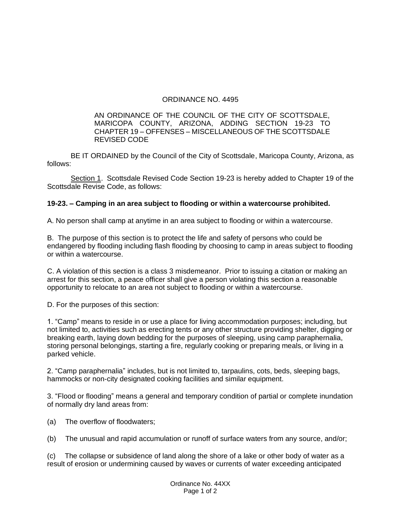## ORDINANCE NO. 4495

## AN ORDINANCE OF THE COUNCIL OF THE CITY OF SCOTTSDALE, MARICOPA COUNTY, ARIZONA, ADDING SECTION 19-23 TO CHAPTER 19 – OFFENSES – MISCELLANEOUS OF THE SCOTTSDALE REVISED CODE

BE IT ORDAINED by the Council of the City of Scottsdale, Maricopa County, Arizona, as follows:

Section 1. Scottsdale Revised Code Section 19-23 is hereby added to Chapter 19 of the Scottsdale Revise Code, as follows:

## **19-23. – Camping in an area subject to flooding or within a watercourse prohibited.**

A. No person shall camp at anytime in an area subject to flooding or within a watercourse.

B. The purpose of this section is to protect the life and safety of persons who could be endangered by flooding including flash flooding by choosing to camp in areas subject to flooding or within a watercourse.

C. A violation of this section is a class 3 misdemeanor. Prior to issuing a citation or making an arrest for this section, a peace officer shall give a person violating this section a reasonable opportunity to relocate to an area not subject to flooding or within a watercourse.

D. For the purposes of this section:

1. "Camp" means to reside in or use a place for living accommodation purposes; including, but not limited to, activities such as erecting tents or any other structure providing shelter, digging or breaking earth, laying down bedding for the purposes of sleeping, using camp paraphernalia, storing personal belongings, starting a fire, regularly cooking or preparing meals, or living in a parked vehicle.

2. "Camp paraphernalia" includes, but is not limited to, tarpaulins, cots, beds, sleeping bags, hammocks or non-city designated cooking facilities and similar equipment.

3. "Flood or flooding" means a general and temporary condition of partial or complete inundation of normally dry land areas from:

- (a) The overflow of floodwaters;
- (b) The unusual and rapid accumulation or runoff of surface waters from any source, and/or;

(c) The collapse or subsidence of land along the shore of a lake or other body of water as a result of erosion or undermining caused by waves or currents of water exceeding anticipated